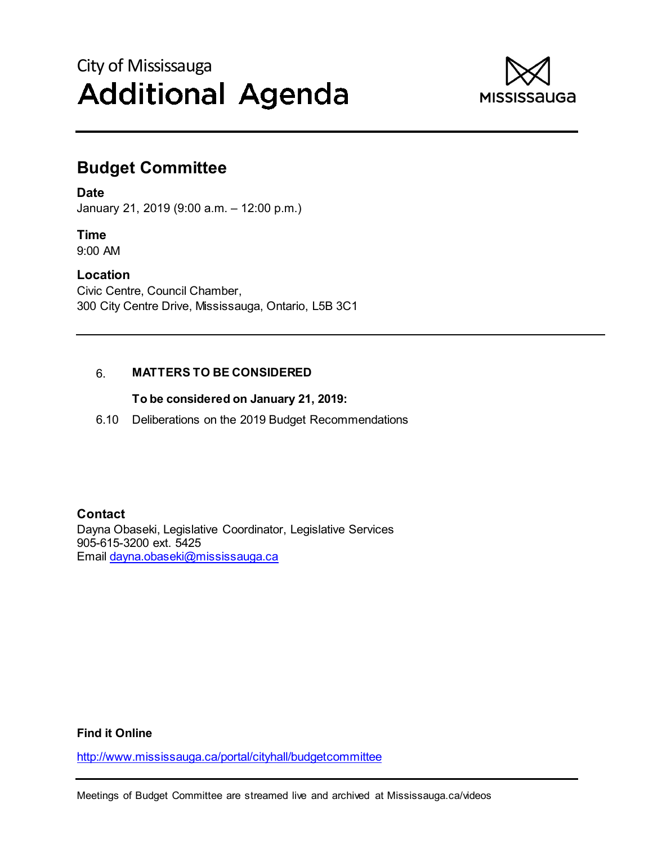# City of Mississauga **Additional Agenda**



## **Budget Committee**

**Date** 

January 21, 2019 (9:00 a.m. – 12:00 p.m.)

## **Time**

9:00 AM

#### **Location**

Civic Centre, Council Chamber, 300 City Centre Drive, Mississauga, Ontario, L5B 3C1

### 6. **MATTERS TO BE CONSIDERED**

#### **To be considered on January 21, 2019:**

6.10 Deliberations on the 2019 Budget Recommendations

**Contact**  Dayna Obaseki, Legislative Coordinator, Legislative Services 905-615-3200 ext. 5425 Email dayna.obaseki@mississauga.ca

#### **Find it Online**

http://www.mississauga.ca/portal/cityhall/budgetcommittee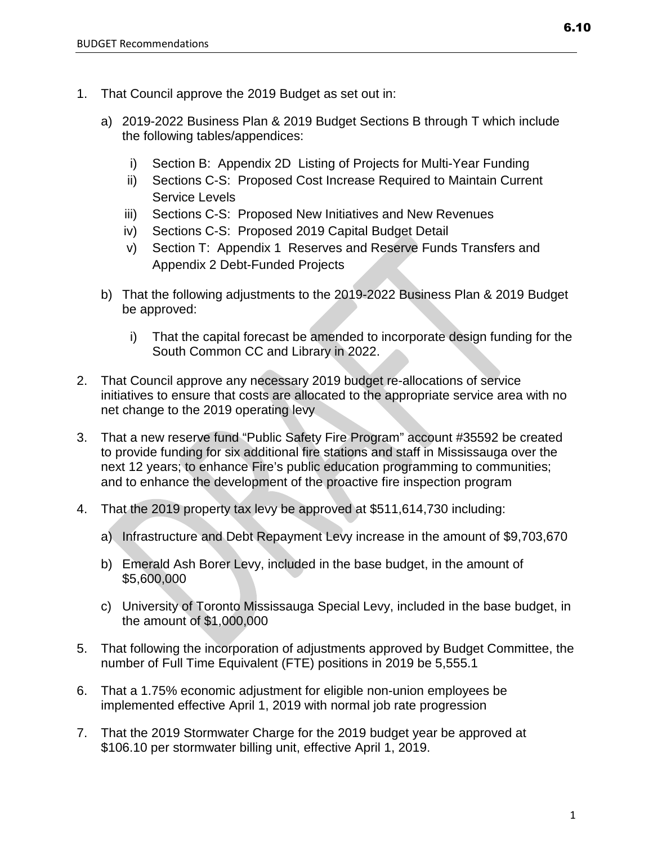- 1. That Council approve the 2019 Budget as set out in:
	- a) 2019-2022 Business Plan & 2019 Budget Sections B through T which include the following tables/appendices:
		- i) Section B: Appendix 2D Listing of Projects for Multi-Year Funding
		- ii) Sections C-S: Proposed Cost Increase Required to Maintain Current Service Levels
		- iii) Sections C-S: Proposed New Initiatives and New Revenues
		- iv) Sections C-S: Proposed 2019 Capital Budget Detail
		- v) Section T: Appendix 1 Reserves and Reserve Funds Transfers and Appendix 2 Debt-Funded Projects
	- b) That the following adjustments to the 2019-2022 Business Plan & 2019 Budget be approved:
		- i) That the capital forecast be amended to incorporate design funding for the South Common CC and Library in 2022.
- 2. That Council approve any necessary 2019 budget re-allocations of service initiatives to ensure that costs are allocated to the appropriate service area with no net change to the 2019 operating levy
- 3. That a new reserve fund "Public Safety Fire Program" account #35592 be created to provide funding for six additional fire stations and staff in Mississauga over the next 12 years; to enhance Fire's public education programming to communities; and to enhance the development of the proactive fire inspection program
- 4. That the 2019 property tax levy be approved at \$511,614,730 including:
	- a) Infrastructure and Debt Repayment Levy increase in the amount of \$9,703,670
	- b) Emerald Ash Borer Levy, included in the base budget, in the amount of \$5,600,000
	- c) University of Toronto Mississauga Special Levy, included in the base budget, in the amount of \$1,000,000
- 5. That following the incorporation of adjustments approved by Budget Committee, the number of Full Time Equivalent (FTE) positions in 2019 be 5,555.1
- 6. That a 1.75% economic adjustment for eligible non-union employees be implemented effective April 1, 2019 with normal job rate progression
- 7. That the 2019 Stormwater Charge for the 2019 budget year be approved at \$106.10 per stormwater billing unit, effective April 1, 2019.